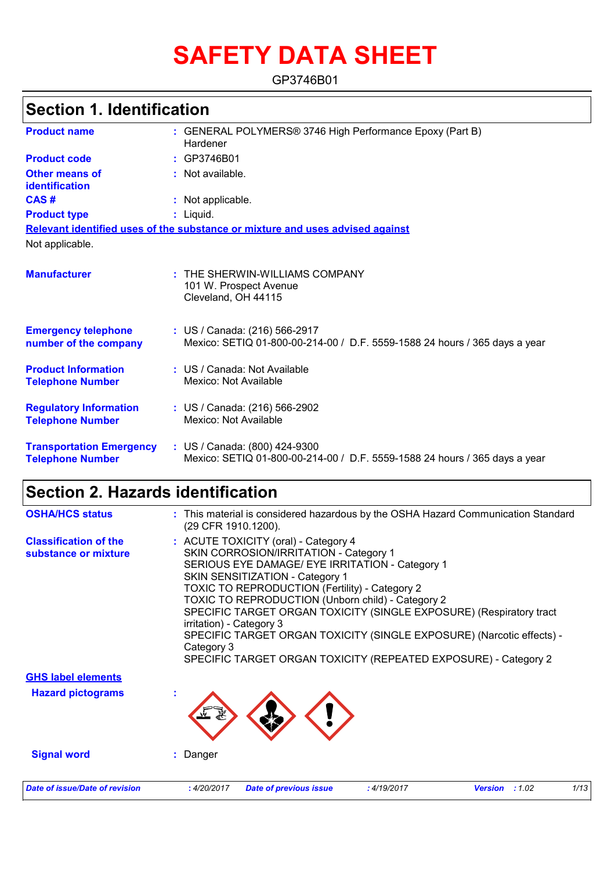# **SAFETY DATA SHEET**

GP3746B01

| <b>Section 1. Identification</b>                           |                                                                                                             |
|------------------------------------------------------------|-------------------------------------------------------------------------------------------------------------|
| <b>Product name</b>                                        | : GENERAL POLYMERS® 3746 High Performance Epoxy (Part B)<br>Hardener                                        |
| <b>Product code</b>                                        | : GP3746B01                                                                                                 |
| Other means of<br><b>identification</b>                    | : Not available.                                                                                            |
| CAS#                                                       | : Not applicable.                                                                                           |
| <b>Product type</b>                                        | $:$ Liquid.                                                                                                 |
|                                                            | Relevant identified uses of the substance or mixture and uses advised against                               |
| Not applicable.                                            |                                                                                                             |
| <b>Manufacturer</b>                                        | $:$ THE SHERWIN-WILLIAMS COMPANY<br>101 W. Prospect Avenue<br>Cleveland, OH 44115                           |
| <b>Emergency telephone</b><br>number of the company        | : US / Canada: (216) 566-2917<br>Mexico: SETIQ 01-800-00-214-00 / D.F. 5559-1588 24 hours / 365 days a year |
| <b>Product Information</b><br><b>Telephone Number</b>      | : US / Canada: Not Available<br>Mexico: Not Available                                                       |
| <b>Regulatory Information</b><br><b>Telephone Number</b>   | : US / Canada: (216) 566-2902<br>Mexico: Not Available                                                      |
| <b>Transportation Emergency</b><br><b>Telephone Number</b> | : US / Canada: (800) 424-9300<br>Mexico: SETIQ 01-800-00-214-00 / D.F. 5559-1588 24 hours / 365 days a year |

## **Section 2. Hazards identification**

| <b>OSHA/HCS status</b>                               | : This material is considered hazardous by the OSHA Hazard Communication Standard<br>(29 CFR 1910.1200).                                                                                                                                                                                                                                                                                                                                                                                                                                               |
|------------------------------------------------------|--------------------------------------------------------------------------------------------------------------------------------------------------------------------------------------------------------------------------------------------------------------------------------------------------------------------------------------------------------------------------------------------------------------------------------------------------------------------------------------------------------------------------------------------------------|
| <b>Classification of the</b><br>substance or mixture | : ACUTE TOXICITY (oral) - Category 4<br>SKIN CORROSION/IRRITATION - Category 1<br>SERIOUS EYE DAMAGE/ EYE IRRITATION - Category 1<br>SKIN SENSITIZATION - Category 1<br><b>TOXIC TO REPRODUCTION (Fertility) - Category 2</b><br><b>TOXIC TO REPRODUCTION (Unborn child) - Category 2</b><br>SPECIFIC TARGET ORGAN TOXICITY (SINGLE EXPOSURE) (Respiratory tract<br>irritation) - Category 3<br>SPECIFIC TARGET ORGAN TOXICITY (SINGLE EXPOSURE) (Narcotic effects) -<br>Category 3<br>SPECIFIC TARGET ORGAN TOXICITY (REPEATED EXPOSURE) - Category 2 |
| <b>GHS label elements</b>                            |                                                                                                                                                                                                                                                                                                                                                                                                                                                                                                                                                        |
| <b>Hazard pictograms</b>                             |                                                                                                                                                                                                                                                                                                                                                                                                                                                                                                                                                        |
| <b>Signal word</b>                                   | : Danger                                                                                                                                                                                                                                                                                                                                                                                                                                                                                                                                               |
| <b>Date of issue/Date of revision</b>                | : 4/20/2017<br><b>Date of previous issue</b><br>:4/19/2017<br>:1.02<br>1/13<br><b>Version</b>                                                                                                                                                                                                                                                                                                                                                                                                                                                          |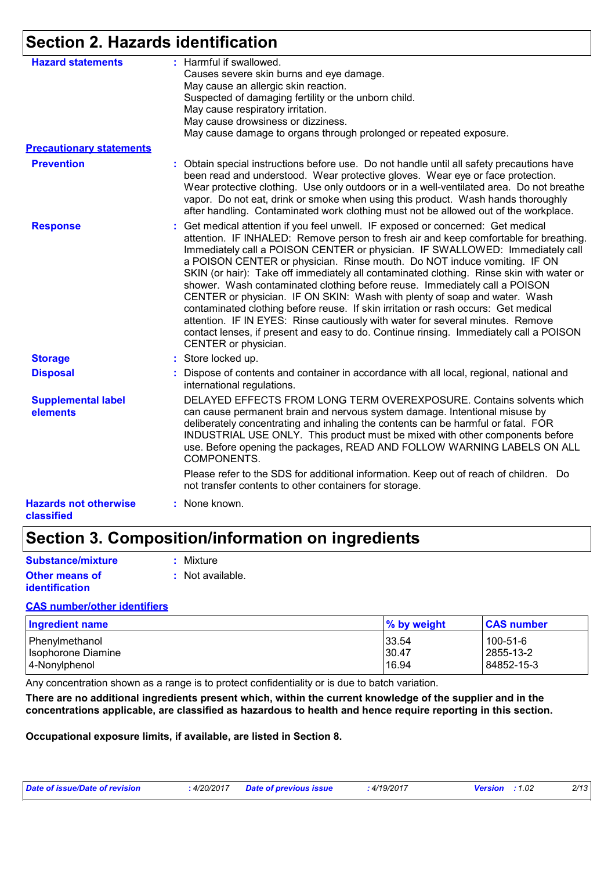## **Section 2. Hazards identification**

| <b>Hazard statements</b>                   | : Harmful if swallowed.<br>Causes severe skin burns and eye damage.<br>May cause an allergic skin reaction.<br>Suspected of damaging fertility or the unborn child.<br>May cause respiratory irritation.<br>May cause drowsiness or dizziness.<br>May cause damage to organs through prolonged or repeated exposure.                                                                                                                                                                                                                                                                                                                                                                                                                                                                                                                                                                    |
|--------------------------------------------|-----------------------------------------------------------------------------------------------------------------------------------------------------------------------------------------------------------------------------------------------------------------------------------------------------------------------------------------------------------------------------------------------------------------------------------------------------------------------------------------------------------------------------------------------------------------------------------------------------------------------------------------------------------------------------------------------------------------------------------------------------------------------------------------------------------------------------------------------------------------------------------------|
| <b>Precautionary statements</b>            |                                                                                                                                                                                                                                                                                                                                                                                                                                                                                                                                                                                                                                                                                                                                                                                                                                                                                         |
| <b>Prevention</b>                          | : Obtain special instructions before use. Do not handle until all safety precautions have<br>been read and understood. Wear protective gloves. Wear eye or face protection.<br>Wear protective clothing. Use only outdoors or in a well-ventilated area. Do not breathe<br>vapor. Do not eat, drink or smoke when using this product. Wash hands thoroughly<br>after handling. Contaminated work clothing must not be allowed out of the workplace.                                                                                                                                                                                                                                                                                                                                                                                                                                     |
| <b>Response</b>                            | : Get medical attention if you feel unwell. IF exposed or concerned: Get medical<br>attention. IF INHALED: Remove person to fresh air and keep comfortable for breathing.<br>Immediately call a POISON CENTER or physician. IF SWALLOWED: Immediately call<br>a POISON CENTER or physician. Rinse mouth. Do NOT induce vomiting. IF ON<br>SKIN (or hair): Take off immediately all contaminated clothing. Rinse skin with water or<br>shower. Wash contaminated clothing before reuse. Immediately call a POISON<br>CENTER or physician. IF ON SKIN: Wash with plenty of soap and water. Wash<br>contaminated clothing before reuse. If skin irritation or rash occurs: Get medical<br>attention. IF IN EYES: Rinse cautiously with water for several minutes. Remove<br>contact lenses, if present and easy to do. Continue rinsing. Immediately call a POISON<br>CENTER or physician. |
| <b>Storage</b>                             | : Store locked up.                                                                                                                                                                                                                                                                                                                                                                                                                                                                                                                                                                                                                                                                                                                                                                                                                                                                      |
| <b>Disposal</b>                            | : Dispose of contents and container in accordance with all local, regional, national and<br>international regulations.                                                                                                                                                                                                                                                                                                                                                                                                                                                                                                                                                                                                                                                                                                                                                                  |
| <b>Supplemental label</b><br>elements      | DELAYED EFFECTS FROM LONG TERM OVEREXPOSURE. Contains solvents which<br>can cause permanent brain and nervous system damage. Intentional misuse by<br>deliberately concentrating and inhaling the contents can be harmful or fatal. FOR<br>INDUSTRIAL USE ONLY. This product must be mixed with other components before<br>use. Before opening the packages, READ AND FOLLOW WARNING LABELS ON ALL<br>COMPONENTS.                                                                                                                                                                                                                                                                                                                                                                                                                                                                       |
|                                            | Please refer to the SDS for additional information. Keep out of reach of children. Do<br>not transfer contents to other containers for storage.                                                                                                                                                                                                                                                                                                                                                                                                                                                                                                                                                                                                                                                                                                                                         |
| <b>Hazards not otherwise</b><br>classified | : None known.                                                                                                                                                                                                                                                                                                                                                                                                                                                                                                                                                                                                                                                                                                                                                                                                                                                                           |

### **Section 3. Composition/information on ingredients**

| <b>Substance/mixture</b> | : Mixture          |
|--------------------------|--------------------|
| <b>Other means of</b>    | $:$ Not available. |
| <b>identification</b>    |                    |

#### **CAS number/other identifiers**

| <b>Ingredient name</b> | % by weight | <b>CAS number</b> |
|------------------------|-------------|-------------------|
| Phenylmethanol         | 33.54       | 100-51-6          |
| Isophorone Diamine     | 30.47       | 2855-13-2         |
| 4-Nonylphenol          | 16.94       | 84852-15-3        |

Any concentration shown as a range is to protect confidentiality or is due to batch variation.

**There are no additional ingredients present which, within the current knowledge of the supplier and in the concentrations applicable, are classified as hazardous to health and hence require reporting in this section.**

**Occupational exposure limits, if available, are listed in Section 8.**

| Date of issue/Date of revision | 4/20/2017 | Date of previous issue | 4/19/2017 | <b>Version</b> : $1.02$ | 2/13 |
|--------------------------------|-----------|------------------------|-----------|-------------------------|------|
|--------------------------------|-----------|------------------------|-----------|-------------------------|------|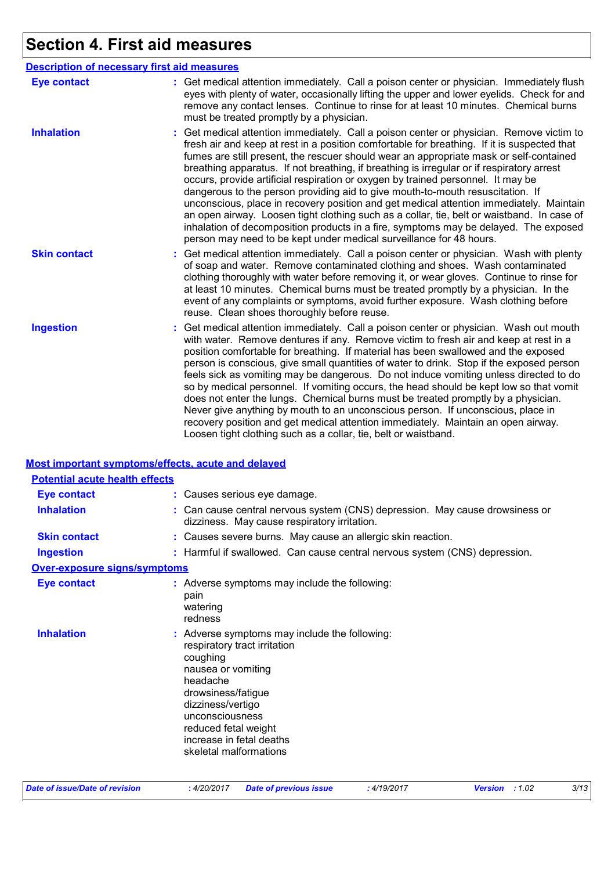## **Section 4. First aid measures**

|                     | <b>Description of necessary first aid measures</b>                                                                                                                                                                                                                                                                                                                                                                                                                                                                                                                                                                                                                                                                                                                                                                                                                                                           |
|---------------------|--------------------------------------------------------------------------------------------------------------------------------------------------------------------------------------------------------------------------------------------------------------------------------------------------------------------------------------------------------------------------------------------------------------------------------------------------------------------------------------------------------------------------------------------------------------------------------------------------------------------------------------------------------------------------------------------------------------------------------------------------------------------------------------------------------------------------------------------------------------------------------------------------------------|
| <b>Eye contact</b>  | : Get medical attention immediately. Call a poison center or physician. Immediately flush<br>eyes with plenty of water, occasionally lifting the upper and lower eyelids. Check for and<br>remove any contact lenses. Continue to rinse for at least 10 minutes. Chemical burns<br>must be treated promptly by a physician.                                                                                                                                                                                                                                                                                                                                                                                                                                                                                                                                                                                  |
| <b>Inhalation</b>   | : Get medical attention immediately. Call a poison center or physician. Remove victim to<br>fresh air and keep at rest in a position comfortable for breathing. If it is suspected that<br>fumes are still present, the rescuer should wear an appropriate mask or self-contained<br>breathing apparatus. If not breathing, if breathing is irregular or if respiratory arrest<br>occurs, provide artificial respiration or oxygen by trained personnel. It may be<br>dangerous to the person providing aid to give mouth-to-mouth resuscitation. If<br>unconscious, place in recovery position and get medical attention immediately. Maintain<br>an open airway. Loosen tight clothing such as a collar, tie, belt or waistband. In case of<br>inhalation of decomposition products in a fire, symptoms may be delayed. The exposed<br>person may need to be kept under medical surveillance for 48 hours. |
| <b>Skin contact</b> | : Get medical attention immediately. Call a poison center or physician. Wash with plenty<br>of soap and water. Remove contaminated clothing and shoes. Wash contaminated<br>clothing thoroughly with water before removing it, or wear gloves. Continue to rinse for<br>at least 10 minutes. Chemical burns must be treated promptly by a physician. In the<br>event of any complaints or symptoms, avoid further exposure. Wash clothing before<br>reuse. Clean shoes thoroughly before reuse.                                                                                                                                                                                                                                                                                                                                                                                                              |
| <b>Ingestion</b>    | : Get medical attention immediately. Call a poison center or physician. Wash out mouth<br>with water. Remove dentures if any. Remove victim to fresh air and keep at rest in a<br>position comfortable for breathing. If material has been swallowed and the exposed<br>person is conscious, give small quantities of water to drink. Stop if the exposed person<br>feels sick as vomiting may be dangerous. Do not induce vomiting unless directed to do<br>so by medical personnel. If vomiting occurs, the head should be kept low so that vomit<br>does not enter the lungs. Chemical burns must be treated promptly by a physician.<br>Never give anything by mouth to an unconscious person. If unconscious, place in<br>recovery position and get medical attention immediately. Maintain an open airway.<br>Loosen tight clothing such as a collar, tie, belt or waistband.                          |

#### **Most important symptoms/effects, acute and delayed**

| <b>Potential acute health effects</b> |                                                                                                                                                                                                                                                                         |
|---------------------------------------|-------------------------------------------------------------------------------------------------------------------------------------------------------------------------------------------------------------------------------------------------------------------------|
| <b>Eye contact</b>                    | : Causes serious eye damage.                                                                                                                                                                                                                                            |
| <b>Inhalation</b>                     | : Can cause central nervous system (CNS) depression. May cause drowsiness or<br>dizziness. May cause respiratory irritation.                                                                                                                                            |
| <b>Skin contact</b>                   | : Causes severe burns. May cause an allergic skin reaction.                                                                                                                                                                                                             |
| <b>Ingestion</b>                      | : Harmful if swallowed. Can cause central nervous system (CNS) depression.                                                                                                                                                                                              |
| <b>Over-exposure signs/symptoms</b>   |                                                                                                                                                                                                                                                                         |
| <b>Eye contact</b>                    | : Adverse symptoms may include the following:<br>pain<br>watering<br>redness                                                                                                                                                                                            |
| <b>Inhalation</b>                     | : Adverse symptoms may include the following:<br>respiratory tract irritation<br>coughing<br>nausea or vomiting<br>headache<br>drowsiness/fatigue<br>dizziness/vertigo<br>unconsciousness<br>reduced fetal weight<br>increase in fetal deaths<br>skeletal malformations |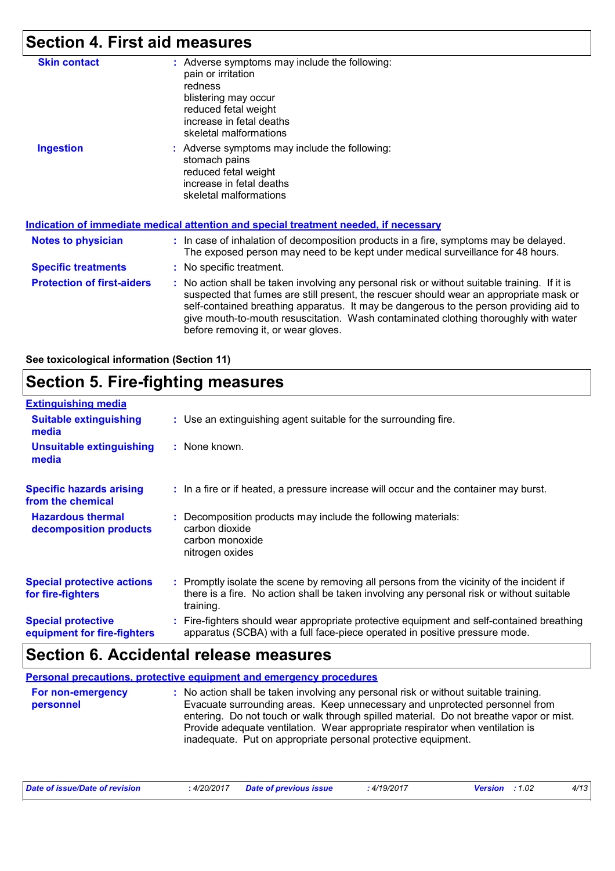## **Section 4. First aid measures**

| <b>Skin contact</b>               | : Adverse symptoms may include the following:<br>pain or irritation<br>redness<br>blistering may occur<br>reduced fetal weight<br>increase in fetal deaths<br>skeletal malformations                                                                                                                                                                                                                            |
|-----------------------------------|-----------------------------------------------------------------------------------------------------------------------------------------------------------------------------------------------------------------------------------------------------------------------------------------------------------------------------------------------------------------------------------------------------------------|
| <b>Ingestion</b>                  | : Adverse symptoms may include the following:<br>stomach pains<br>reduced fetal weight<br>increase in fetal deaths<br>skeletal malformations                                                                                                                                                                                                                                                                    |
|                                   | <u>Indication of immediate medical attention and special treatment needed, if necessary</u>                                                                                                                                                                                                                                                                                                                     |
| <b>Notes to physician</b>         | : In case of inhalation of decomposition products in a fire, symptoms may be delayed.<br>The exposed person may need to be kept under medical surveillance for 48 hours.                                                                                                                                                                                                                                        |
| <b>Specific treatments</b>        | : No specific treatment.                                                                                                                                                                                                                                                                                                                                                                                        |
| <b>Protection of first-aiders</b> | : No action shall be taken involving any personal risk or without suitable training. If it is<br>suspected that fumes are still present, the rescuer should wear an appropriate mask or<br>self-contained breathing apparatus. It may be dangerous to the person providing aid to<br>give mouth-to-mouth resuscitation. Wash contaminated clothing thoroughly with water<br>before removing it, or wear gloves. |

**See toxicological information (Section 11)**

## **Section 5. Fire-fighting measures**

| <b>Extinguishing media</b>                               |                                                                                                                                                                                                     |
|----------------------------------------------------------|-----------------------------------------------------------------------------------------------------------------------------------------------------------------------------------------------------|
| <b>Suitable extinguishing</b><br>media                   | : Use an extinguishing agent suitable for the surrounding fire.                                                                                                                                     |
| Unsuitable extinguishing<br>media                        | : None known.                                                                                                                                                                                       |
| <b>Specific hazards arising</b><br>from the chemical     | : In a fire or if heated, a pressure increase will occur and the container may burst.                                                                                                               |
| <b>Hazardous thermal</b><br>decomposition products       | Decomposition products may include the following materials:<br>carbon dioxide<br>carbon monoxide<br>nitrogen oxides                                                                                 |
| <b>Special protective actions</b><br>for fire-fighters   | : Promptly isolate the scene by removing all persons from the vicinity of the incident if<br>there is a fire. No action shall be taken involving any personal risk or without suitable<br>training. |
| <b>Special protective</b><br>equipment for fire-fighters | Fire-fighters should wear appropriate protective equipment and self-contained breathing<br>apparatus (SCBA) with a full face-piece operated in positive pressure mode.                              |

## **Section 6. Accidental release measures**

|                                | <b>Personal precautions, protective equipment and emergency procedures</b>                                                                                                                                                                                                                                                                                                                                      |
|--------------------------------|-----------------------------------------------------------------------------------------------------------------------------------------------------------------------------------------------------------------------------------------------------------------------------------------------------------------------------------------------------------------------------------------------------------------|
| For non-emergency<br>personnel | : No action shall be taken involving any personal risk or without suitable training.<br>Evacuate surrounding areas. Keep unnecessary and unprotected personnel from<br>entering. Do not touch or walk through spilled material. Do not breathe vapor or mist.<br>Provide adequate ventilation. Wear appropriate respirator when ventilation is<br>inadequate. Put on appropriate personal protective equipment. |

| Date of issue/Date of revision | : 4/20/2017 Date of previous issue | : 4/19/2017 | <b>Version</b> : 1.02 |  |
|--------------------------------|------------------------------------|-------------|-----------------------|--|
|--------------------------------|------------------------------------|-------------|-----------------------|--|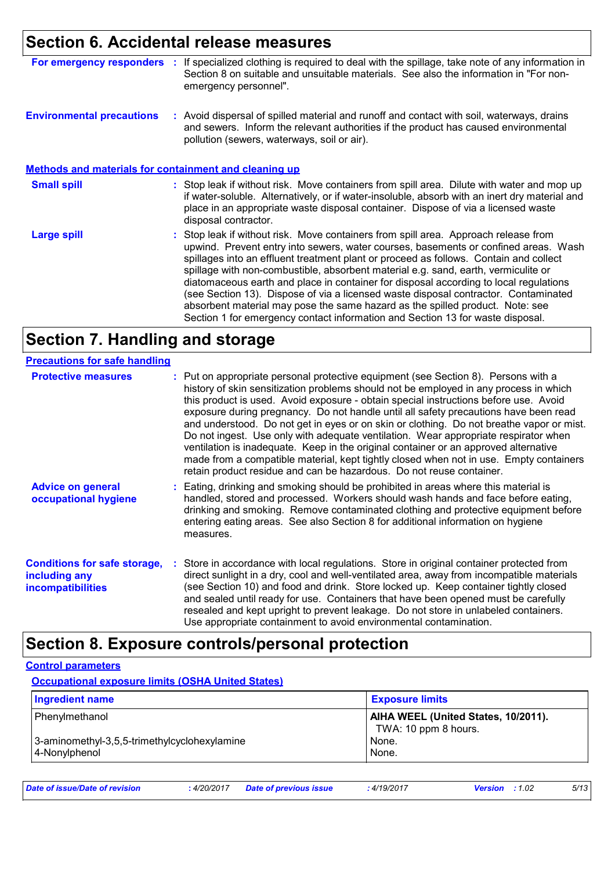### **Section 6. Accidental release measures**

| For emergency responders                                     | - 11 | If specialized clothing is required to deal with the spillage, take note of any information in<br>Section 8 on suitable and unsuitable materials. See also the information in "For non-<br>emergency personnel".                                                                                         |
|--------------------------------------------------------------|------|----------------------------------------------------------------------------------------------------------------------------------------------------------------------------------------------------------------------------------------------------------------------------------------------------------|
| <b>Environmental precautions</b>                             |      | : Avoid dispersal of spilled material and runoff and contact with soil, waterways, drains<br>and sewers. Inform the relevant authorities if the product has caused environmental<br>pollution (sewers, waterways, soil or air).                                                                          |
| <b>Methods and materials for containment and cleaning up</b> |      |                                                                                                                                                                                                                                                                                                          |
| <b>Small spill</b>                                           |      | : Stop leak if without risk. Move containers from spill area. Dilute with water and mop up<br>if water-soluble. Alternatively, or if water-insoluble, absorb with an inert dry material and<br>place in an appropriate waste disposal container. Dispose of via a licensed waste<br>disposal contractor. |
| <b>Large spill</b>                                           |      | : Stop leak if without risk. Move containers from spill area. Approach release from<br>upwind. Prevent entry into sewers, water courses, basements or confined areas. Wash                                                                                                                               |

spillages into an effluent treatment plant or proceed as follows. Contain and collect spillage with non-combustible, absorbent material e.g. sand, earth, vermiculite or diatomaceous earth and place in container for disposal according to local regulations (see Section 13). Dispose of via a licensed waste disposal contractor. Contaminated absorbent material may pose the same hazard as the spilled product. Note: see Section 1 for emergency contact information and Section 13 for waste disposal.

### **Section 7. Handling and storage**

| <b>Precautions for safe handling</b>                                             |                                                                                                                                                                                                                                                                                                                                                                                                                                                                                                                                                                                                                                                                                                                                                                                                          |
|----------------------------------------------------------------------------------|----------------------------------------------------------------------------------------------------------------------------------------------------------------------------------------------------------------------------------------------------------------------------------------------------------------------------------------------------------------------------------------------------------------------------------------------------------------------------------------------------------------------------------------------------------------------------------------------------------------------------------------------------------------------------------------------------------------------------------------------------------------------------------------------------------|
| <b>Protective measures</b>                                                       | : Put on appropriate personal protective equipment (see Section 8). Persons with a<br>history of skin sensitization problems should not be employed in any process in which<br>this product is used. Avoid exposure - obtain special instructions before use. Avoid<br>exposure during pregnancy. Do not handle until all safety precautions have been read<br>and understood. Do not get in eyes or on skin or clothing. Do not breathe vapor or mist.<br>Do not ingest. Use only with adequate ventilation. Wear appropriate respirator when<br>ventilation is inadequate. Keep in the original container or an approved alternative<br>made from a compatible material, kept tightly closed when not in use. Empty containers<br>retain product residue and can be hazardous. Do not reuse container. |
| <b>Advice on general</b><br>occupational hygiene                                 | : Eating, drinking and smoking should be prohibited in areas where this material is<br>handled, stored and processed. Workers should wash hands and face before eating,<br>drinking and smoking. Remove contaminated clothing and protective equipment before<br>entering eating areas. See also Section 8 for additional information on hygiene<br>measures.                                                                                                                                                                                                                                                                                                                                                                                                                                            |
| <b>Conditions for safe storage,</b><br>including any<br><i>incompatibilities</i> | : Store in accordance with local regulations. Store in original container protected from<br>direct sunlight in a dry, cool and well-ventilated area, away from incompatible materials<br>(see Section 10) and food and drink. Store locked up. Keep container tightly closed<br>and sealed until ready for use. Containers that have been opened must be carefully<br>resealed and kept upright to prevent leakage. Do not store in unlabeled containers.<br>Use appropriate containment to avoid environmental contamination.                                                                                                                                                                                                                                                                           |

### **Section 8. Exposure controls/personal protection**

#### **Control parameters**

**Occupational exposure limits (OSHA United States)**

| <b>Ingredient name</b>                                                          | <b>Exposure limits</b>                                                        |
|---------------------------------------------------------------------------------|-------------------------------------------------------------------------------|
| Phenylmethanol<br>3-aminomethyl-3,5,5-trimethylcyclohexylamine<br>4-Nonylphenol | AIHA WEEL (United States, 10/2011).<br>TWA: 10 ppm 8 hours.<br>None.<br>None. |
|                                                                                 |                                                                               |

| Date of issue/Date of revision<br>: 4/20/2017 | <b>Date of previous issue</b> | 4/19/2017 | <b>Version</b> : 1.02 |  | 5/13 |
|-----------------------------------------------|-------------------------------|-----------|-----------------------|--|------|
|-----------------------------------------------|-------------------------------|-----------|-----------------------|--|------|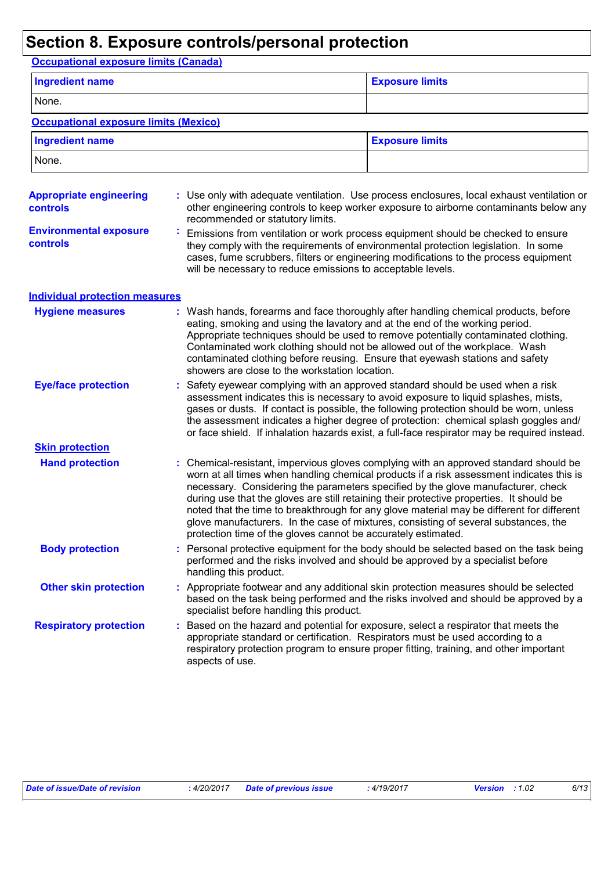## **Section 8. Exposure controls/personal protection**

**Occupational exposure limits (Canada)**

| <b>Ingredient name</b>                            |  |                                                                                                                                | <b>Exposure limits</b>                                                                                                                                                                                                                                                                                                                                                                                                                                                                                                                                |
|---------------------------------------------------|--|--------------------------------------------------------------------------------------------------------------------------------|-------------------------------------------------------------------------------------------------------------------------------------------------------------------------------------------------------------------------------------------------------------------------------------------------------------------------------------------------------------------------------------------------------------------------------------------------------------------------------------------------------------------------------------------------------|
| None.                                             |  |                                                                                                                                |                                                                                                                                                                                                                                                                                                                                                                                                                                                                                                                                                       |
| <b>Occupational exposure limits (Mexico)</b>      |  |                                                                                                                                |                                                                                                                                                                                                                                                                                                                                                                                                                                                                                                                                                       |
| <b>Ingredient name</b>                            |  |                                                                                                                                | <b>Exposure limits</b>                                                                                                                                                                                                                                                                                                                                                                                                                                                                                                                                |
| None.                                             |  |                                                                                                                                |                                                                                                                                                                                                                                                                                                                                                                                                                                                                                                                                                       |
| <b>Appropriate engineering</b><br><b>controls</b> |  | recommended or statutory limits.                                                                                               | : Use only with adequate ventilation. Use process enclosures, local exhaust ventilation or<br>other engineering controls to keep worker exposure to airborne contaminants below any                                                                                                                                                                                                                                                                                                                                                                   |
| <b>Environmental exposure</b><br><b>controls</b>  |  | will be necessary to reduce emissions to acceptable levels.                                                                    | Emissions from ventilation or work process equipment should be checked to ensure<br>they comply with the requirements of environmental protection legislation. In some<br>cases, fume scrubbers, filters or engineering modifications to the process equipment                                                                                                                                                                                                                                                                                        |
| <b>Individual protection measures</b>             |  |                                                                                                                                |                                                                                                                                                                                                                                                                                                                                                                                                                                                                                                                                                       |
| <b>Hygiene measures</b>                           |  | eating, smoking and using the lavatory and at the end of the working period.<br>showers are close to the workstation location. | : Wash hands, forearms and face thoroughly after handling chemical products, before<br>Appropriate techniques should be used to remove potentially contaminated clothing.<br>Contaminated work clothing should not be allowed out of the workplace. Wash<br>contaminated clothing before reusing. Ensure that eyewash stations and safety                                                                                                                                                                                                             |
| <b>Eye/face protection</b>                        |  |                                                                                                                                | : Safety eyewear complying with an approved standard should be used when a risk<br>assessment indicates this is necessary to avoid exposure to liquid splashes, mists,<br>gases or dusts. If contact is possible, the following protection should be worn, unless<br>the assessment indicates a higher degree of protection: chemical splash goggles and/<br>or face shield. If inhalation hazards exist, a full-face respirator may be required instead.                                                                                             |
| <b>Skin protection</b>                            |  |                                                                                                                                |                                                                                                                                                                                                                                                                                                                                                                                                                                                                                                                                                       |
| <b>Hand protection</b>                            |  | protection time of the gloves cannot be accurately estimated.                                                                  | : Chemical-resistant, impervious gloves complying with an approved standard should be<br>worn at all times when handling chemical products if a risk assessment indicates this is<br>necessary. Considering the parameters specified by the glove manufacturer, check<br>during use that the gloves are still retaining their protective properties. It should be<br>noted that the time to breakthrough for any glove material may be different for different<br>glove manufacturers. In the case of mixtures, consisting of several substances, the |
| <b>Body protection</b>                            |  | handling this product.                                                                                                         | : Personal protective equipment for the body should be selected based on the task being<br>performed and the risks involved and should be approved by a specialist before                                                                                                                                                                                                                                                                                                                                                                             |
| <b>Other skin protection</b>                      |  | specialist before handling this product.                                                                                       | : Appropriate footwear and any additional skin protection measures should be selected<br>based on the task being performed and the risks involved and should be approved by a                                                                                                                                                                                                                                                                                                                                                                         |
| <b>Respiratory protection</b>                     |  | appropriate standard or certification. Respirators must be used according to a<br>aspects of use.                              | : Based on the hazard and potential for exposure, select a respirator that meets the<br>respiratory protection program to ensure proper fitting, training, and other important                                                                                                                                                                                                                                                                                                                                                                        |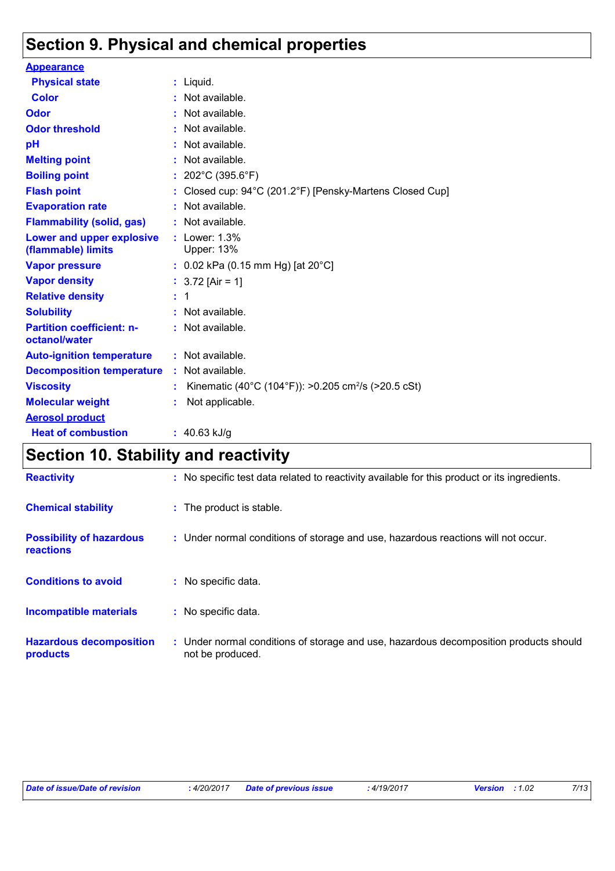## **Section 9. Physical and chemical properties**

| <b>Appearance</b>                                      |    |                                                                 |
|--------------------------------------------------------|----|-----------------------------------------------------------------|
| <b>Physical state</b>                                  |    | $:$ Liquid.                                                     |
| <b>Color</b>                                           | t. | Not available.                                                  |
| Odor                                                   | ÷. | Not available.                                                  |
| <b>Odor threshold</b>                                  | ÷  | Not available.                                                  |
| pH                                                     |    | Not available.                                                  |
| <b>Melting point</b>                                   | ÷  | Not available.                                                  |
| <b>Boiling point</b>                                   |    | 202°C (395.6°F)                                                 |
| <b>Flash point</b>                                     |    | Closed cup: 94°C (201.2°F) [Pensky-Martens Closed Cup]          |
| <b>Evaporation rate</b>                                |    | Not available.                                                  |
| <b>Flammability (solid, gas)</b>                       |    | Not available.                                                  |
| <b>Lower and upper explosive</b><br>(flammable) limits |    | Lower: 1.3%<br><b>Upper: 13%</b>                                |
| <b>Vapor pressure</b>                                  |    | : $0.02$ kPa (0.15 mm Hg) [at 20°C]                             |
| <b>Vapor density</b>                                   |    | : $3.72$ [Air = 1]                                              |
| <b>Relative density</b>                                | ÷  | 1                                                               |
| <b>Solubility</b>                                      |    | Not available.                                                  |
| <b>Partition coefficient: n-</b><br>octanol/water      |    | : Not available.                                                |
| <b>Auto-ignition temperature</b>                       |    | $:$ Not available.                                              |
| <b>Decomposition temperature</b>                       |    | : Not available.                                                |
| <b>Viscosity</b>                                       |    | Kinematic (40°C (104°F)): >0.205 cm <sup>2</sup> /s (>20.5 cSt) |
| <b>Molecular weight</b>                                |    | Not applicable.                                                 |
| <b>Aerosol product</b>                                 |    |                                                                 |
| <b>Heat of combustion</b>                              |    | : $40.63$ kJ/g                                                  |

## **Section 10. Stability and reactivity**

| <b>Reactivity</b>                            | : No specific test data related to reactivity available for this product or its ingredients.              |
|----------------------------------------------|-----------------------------------------------------------------------------------------------------------|
| <b>Chemical stability</b>                    | : The product is stable.                                                                                  |
| <b>Possibility of hazardous</b><br>reactions | : Under normal conditions of storage and use, hazardous reactions will not occur.                         |
| <b>Conditions to avoid</b>                   | : No specific data.                                                                                       |
| <b>Incompatible materials</b>                | : No specific data.                                                                                       |
| <b>Hazardous decomposition</b><br>products   | : Under normal conditions of storage and use, hazardous decomposition products should<br>not be produced. |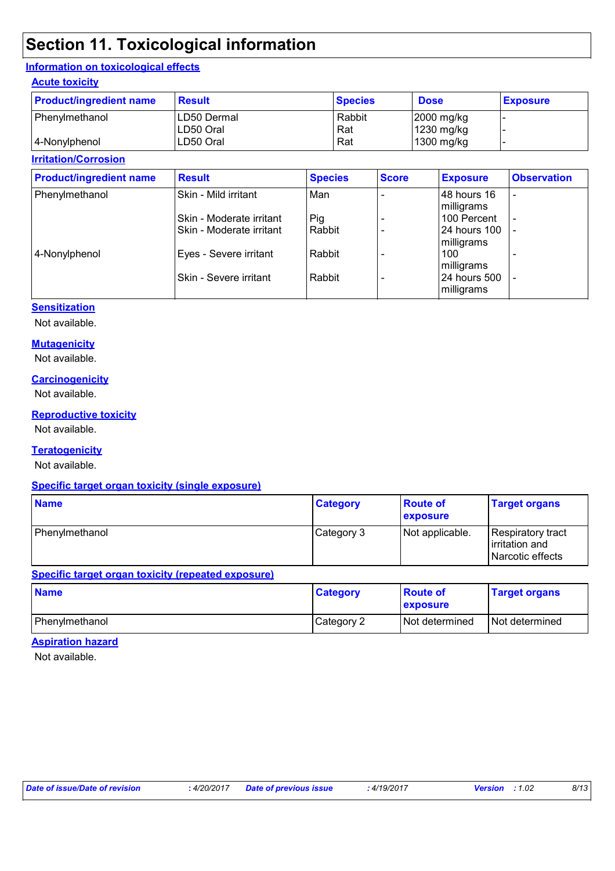## **Section 11. Toxicological information**

#### **Information on toxicological effects**

#### **Acute toxicity**

| <b>Product/ingredient name</b> | Result      | <b>Species</b> | <b>Dose</b> | <b>Exposure</b> |
|--------------------------------|-------------|----------------|-------------|-----------------|
| Phenylmethanol                 | LD50 Dermal | Rabbit         | 2000 mg/kg  |                 |
|                                | LD50 Oral   | Rat            | 1230 mg/kg  |                 |
| 4-Nonylphenol                  | LD50 Oral   | Rat            | 1300 mg/kg  |                 |

#### **Irritation/Corrosion**

| <b>Product/ingredient name</b> | <b>Result</b>                                        | <b>Species</b> | <b>Score</b> | <b>Exposure</b>                          | <b>Observation</b>       |
|--------------------------------|------------------------------------------------------|----------------|--------------|------------------------------------------|--------------------------|
| Phenylmethanol                 | Skin - Mild irritant                                 | Man            |              | 48 hours 16<br>milligrams                | $\overline{\phantom{a}}$ |
|                                | Skin - Moderate irritant<br>Skin - Moderate irritant | Pig<br>Rabbit  |              | 100 Percent<br>24 hours 100              | $\overline{\phantom{a}}$ |
| 4-Nonylphenol                  | Eyes - Severe irritant                               | Rabbit         |              | milligrams<br>100                        |                          |
|                                | Skin - Severe irritant                               | Rabbit         |              | milligrams<br>24 hours 500<br>milligrams |                          |

#### **Sensitization**

Not available.

#### **Mutagenicity**

Not available.

#### **Carcinogenicity**

Not available.

#### **Reproductive toxicity**

Not available.

#### **Teratogenicity**

Not available.

#### **Specific target organ toxicity (single exposure)**

| <b>Name</b>    | <b>Category</b> | <b>Route of</b><br><b>exposure</b> | <b>Target organs</b>                                    |
|----------------|-----------------|------------------------------------|---------------------------------------------------------|
| Phenylmethanol | Category 3      | Not applicable.                    | Respiratory tract<br>irritation and<br>Narcotic effects |

#### **Specific target organ toxicity (repeated exposure)**

| <b>Name</b>    | <b>Category</b> | ∣Route of<br><b>exposure</b> | <b>Target organs</b> |
|----------------|-----------------|------------------------------|----------------------|
| Phenylmethanol | Category 2      | <b>Not determined</b>        | Not determined       |

#### **Aspiration hazard**

Not available.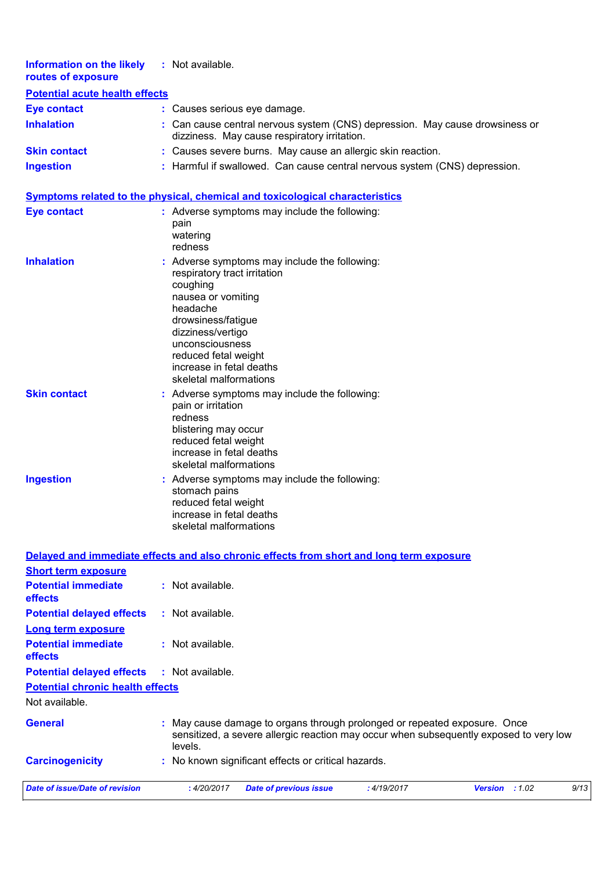| Information on the likely<br>routes of exposure | : Not available.                                                                                                             |
|-------------------------------------------------|------------------------------------------------------------------------------------------------------------------------------|
| <b>Potential acute health effects</b>           |                                                                                                                              |
| <b>Eye contact</b>                              | : Causes serious eye damage.                                                                                                 |
| <b>Inhalation</b>                               | : Can cause central nervous system (CNS) depression. May cause drowsiness or<br>dizziness. May cause respiratory irritation. |
| <b>Skin contact</b>                             | : Causes severe burns. May cause an allergic skin reaction.                                                                  |
| <b>Ingestion</b>                                | : Harmful if swallowed. Can cause central nervous system (CNS) depression.                                                   |

#### **Symptoms related to the physical, chemical and toxicological characteristics**

| <b>Eye contact</b>  | Adverse symptoms may include the following:<br>pain<br>watering<br>redness                                                                                                                                                                                              |
|---------------------|-------------------------------------------------------------------------------------------------------------------------------------------------------------------------------------------------------------------------------------------------------------------------|
| <b>Inhalation</b>   | : Adverse symptoms may include the following:<br>respiratory tract irritation<br>coughing<br>nausea or vomiting<br>headache<br>drowsiness/fatigue<br>dizziness/vertigo<br>unconsciousness<br>reduced fetal weight<br>increase in fetal deaths<br>skeletal malformations |
| <b>Skin contact</b> | Adverse symptoms may include the following:<br>pain or irritation<br>redness<br>blistering may occur<br>reduced fetal weight<br>increase in fetal deaths<br>skeletal malformations                                                                                      |
| <b>Ingestion</b>    | : Adverse symptoms may include the following:<br>stomach pains<br>reduced fetal weight<br>increase in fetal deaths<br>skeletal malformations                                                                                                                            |

**Delayed and immediate effects and also chronic effects from short and long term exposure**

| <b>Short term exposure</b>                   |                    |                                                                           |             |                                                                                        |      |
|----------------------------------------------|--------------------|---------------------------------------------------------------------------|-------------|----------------------------------------------------------------------------------------|------|
| <b>Potential immediate</b><br><b>effects</b> | : Not available.   |                                                                           |             |                                                                                        |      |
| <b>Potential delayed effects</b>             | : Not available.   |                                                                           |             |                                                                                        |      |
| Long term exposure                           |                    |                                                                           |             |                                                                                        |      |
| <b>Potential immediate</b><br><b>effects</b> | $:$ Not available. |                                                                           |             |                                                                                        |      |
| <b>Potential delayed effects</b>             | : Not available.   |                                                                           |             |                                                                                        |      |
| <b>Potential chronic health effects</b>      |                    |                                                                           |             |                                                                                        |      |
| Not available.                               |                    |                                                                           |             |                                                                                        |      |
| <b>General</b>                               | levels.            | : May cause damage to organs through prolonged or repeated exposure. Once |             | sensitized, a severe allergic reaction may occur when subsequently exposed to very low |      |
| <b>Carcinogenicity</b>                       |                    | : No known significant effects or critical hazards.                       |             |                                                                                        |      |
| Date of issue/Date of revision               | : 4/20/2017        | <b>Date of previous issue</b>                                             | : 4/19/2017 | <b>Version</b><br>:1.02                                                                | 9/13 |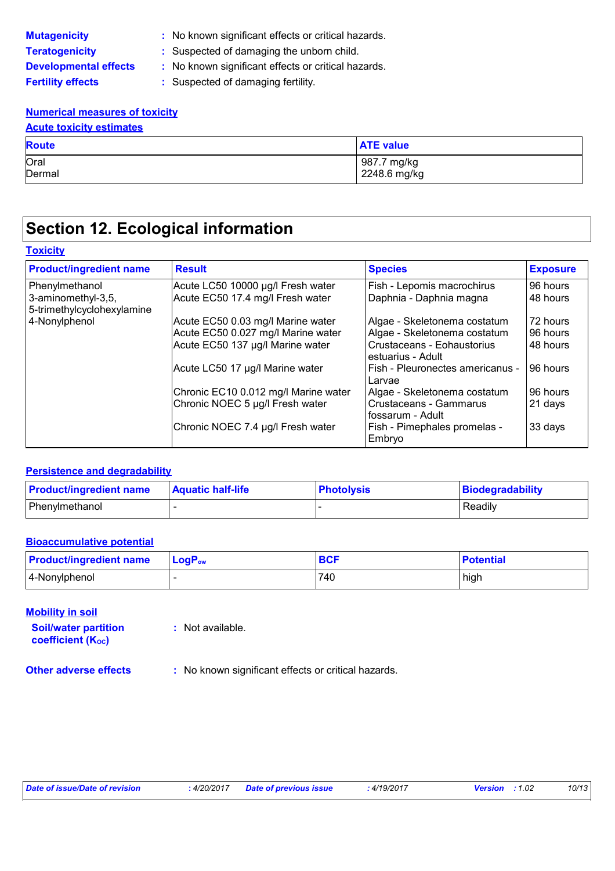| <b>Mutagenicity</b>          |
|------------------------------|
| <b>Teratogenicity</b>        |
| <b>Developmental effects</b> |
| <b>Fertility effects</b>     |

**:** No known significant effects or critical hazards.

**:** Suspected of damaging the unborn child.

- **s** : No known significant effects or critical hazards.
	- **:** Suspected of damaging fertility.

#### **Numerical measures of toxicity**

| <b>Acute toxicity estimates</b> |                  |  |
|---------------------------------|------------------|--|
| <b>Route</b>                    | <b>ATE value</b> |  |
| Oral                            | 987.7 mg/kg      |  |
| Dermal                          | 2248.6 mg/kg     |  |

## **Section 12. Ecological information**

#### **Toxicity**

| <b>Product/ingredient name</b>                   | <b>Result</b>                        | <b>Species</b>                                      | <b>Exposure</b> |
|--------------------------------------------------|--------------------------------------|-----------------------------------------------------|-----------------|
| Phenylmethanol                                   | Acute LC50 10000 µg/l Fresh water    | Fish - Lepomis macrochirus                          | 96 hours        |
| 3-aminomethyl-3,5,<br>5-trimethylcyclohexylamine | Acute EC50 17.4 mg/l Fresh water     | Daphnia - Daphnia magna                             | 48 hours        |
| 4-Nonylphenol                                    | Acute EC50 0.03 mg/l Marine water    | Algae - Skeletonema costatum                        | 72 hours        |
|                                                  | Acute EC50 0.027 mg/l Marine water   | Algae - Skeletonema costatum                        | 96 hours        |
|                                                  | Acute EC50 137 µg/l Marine water     | Crustaceans - Eohaustorius<br>estuarius - Adult     | 48 hours        |
|                                                  | Acute LC50 17 µg/l Marine water      | Fish - Pleuronectes americanus -<br>Larvae          | 96 hours        |
|                                                  | Chronic EC10 0.012 mg/l Marine water | Algae - Skeletonema costatum                        | 96 hours        |
|                                                  | Chronic NOEC 5 µg/l Fresh water      | <b>Crustaceans - Gammarus</b><br>l fossarum - Adult | 21 days         |
|                                                  | Chronic NOEC 7.4 µg/l Fresh water    | Fish - Pimephales promelas -<br>Embryo              | 33 days         |

#### **Persistence and degradability**

| <b>Product/ingredient name</b> | <b>Aquatic half-life</b> | <b>Photolysis</b> | Biodegradability |
|--------------------------------|--------------------------|-------------------|------------------|
| Phenylmethanol                 |                          |                   | Readily          |

#### **Bioaccumulative potential**

| <b>Product/ingredient name</b> | $LogP_{ow}$ | BCI | <b>Potential</b> |
|--------------------------------|-------------|-----|------------------|
| 4-Nonylphenol                  |             | 740 | high             |

#### **Mobility in soil**

**Soil/water partition coefficient (Koc) :** Not available.

**Other adverse effects** : No known significant effects or critical hazards.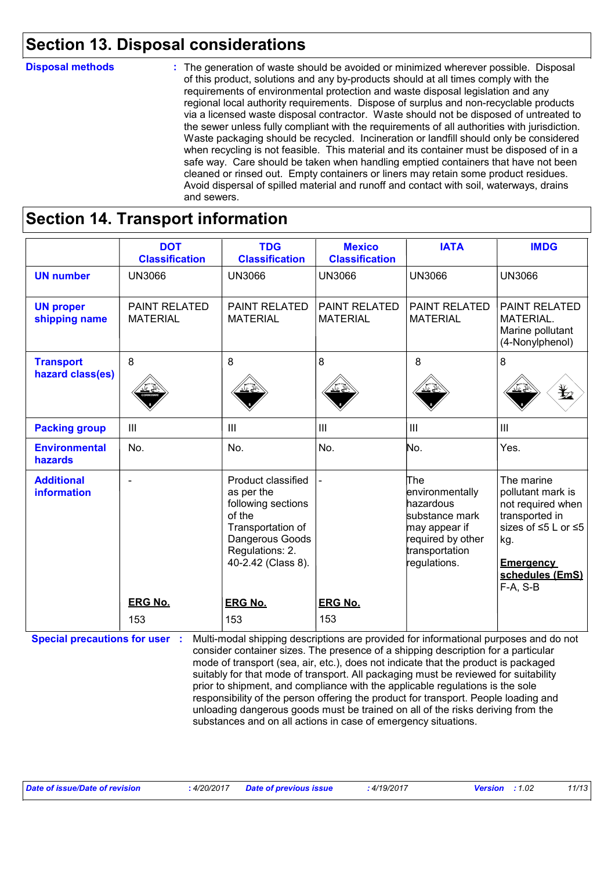### **Section 13. Disposal considerations**

#### The generation of waste should be avoided or minimized wherever possible. Disposal of this product, solutions and any by-products should at all times comply with the requirements of environmental protection and waste disposal legislation and any regional local authority requirements. Dispose of surplus and non-recyclable products via a licensed waste disposal contractor. Waste should not be disposed of untreated to the sewer unless fully compliant with the requirements of all authorities with jurisdiction. Waste packaging should be recycled. Incineration or landfill should only be considered when recycling is not feasible. This material and its container must be disposed of in a safe way. Care should be taken when handling emptied containers that have not been cleaned or rinsed out. Empty containers or liners may retain some product residues. Avoid dispersal of spilled material and runoff and contact with soil, waterways, drains and sewers. **Disposal methods :**

### **Section 14. Transport information**

|                                         | <b>DOT</b><br><b>Classification</b>     | <b>TDG</b><br><b>Classification</b>                                                                                                               | <b>Mexico</b><br><b>Classification</b>  | <b>IATA</b>                                                                                                                   | <b>IMDG</b>                                                                                                                                               |
|-----------------------------------------|-----------------------------------------|---------------------------------------------------------------------------------------------------------------------------------------------------|-----------------------------------------|-------------------------------------------------------------------------------------------------------------------------------|-----------------------------------------------------------------------------------------------------------------------------------------------------------|
| <b>UN number</b>                        | <b>UN3066</b>                           | <b>UN3066</b>                                                                                                                                     | <b>UN3066</b>                           | <b>UN3066</b>                                                                                                                 | <b>UN3066</b>                                                                                                                                             |
| <b>UN proper</b><br>shipping name       | <b>PAINT RELATED</b><br><b>MATERIAL</b> | <b>PAINT RELATED</b><br><b>MATERIAL</b>                                                                                                           | <b>PAINT RELATED</b><br><b>MATERIAL</b> | <b>PAINT RELATED</b><br><b>MATERIAL</b>                                                                                       | <b>PAINT RELATED</b><br>MATERIAL.<br>Marine pollutant<br>(4-Nonylphenol)                                                                                  |
| <b>Transport</b>                        | 8                                       | 8                                                                                                                                                 | 8                                       | 8                                                                                                                             | 8                                                                                                                                                         |
| hazard class(es)                        |                                         |                                                                                                                                                   |                                         |                                                                                                                               | ¥                                                                                                                                                         |
| <b>Packing group</b>                    | Ш                                       | Ш                                                                                                                                                 | $\mathbf{III}$                          | $\mathbf{III}$                                                                                                                | III                                                                                                                                                       |
| <b>Environmental</b><br>hazards         | No.                                     | No.                                                                                                                                               | No.                                     | No.                                                                                                                           | Yes.                                                                                                                                                      |
| <b>Additional</b><br><b>information</b> | $\blacksquare$                          | Product classified<br>as per the<br>following sections<br>of the<br>Transportation of<br>Dangerous Goods<br>Regulations: 2.<br>40-2.42 (Class 8). |                                         | The<br>environmentally<br>hazardous<br>substance mark<br>may appear if<br>required by other<br>transportation<br>regulations. | The marine<br>pollutant mark is<br>not required when<br>transported in<br>sizes of ≤5 L or ≤5<br>kg.<br><b>Emergency</b><br>schedules (EmS)<br>$F-A, S-B$ |
|                                         | <b>ERG No.</b>                          | <b>ERG No.</b>                                                                                                                                    | <b>ERG No.</b>                          |                                                                                                                               |                                                                                                                                                           |
|                                         | 153                                     | 153                                                                                                                                               | 153                                     |                                                                                                                               |                                                                                                                                                           |

**Special precautions for user**: Multi-modal shipping descriptions are provided for informational purposes and do not consider container sizes. The presence of a shipping description for a particular mode of transport (sea, air, etc.), does not indicate that the product is packaged suitably for that mode of transport. All packaging must be reviewed for suitability prior to shipment, and compliance with the applicable regulations is the sole responsibility of the person offering the product for transport. People loading and unloading dangerous goods must be trained on all of the risks deriving from the substances and on all actions in case of emergency situations.

*Date of issue/Date of revision* **:** *4/20/2017 Date of previous issue : 4/19/2017 Version : 1.02 11/13*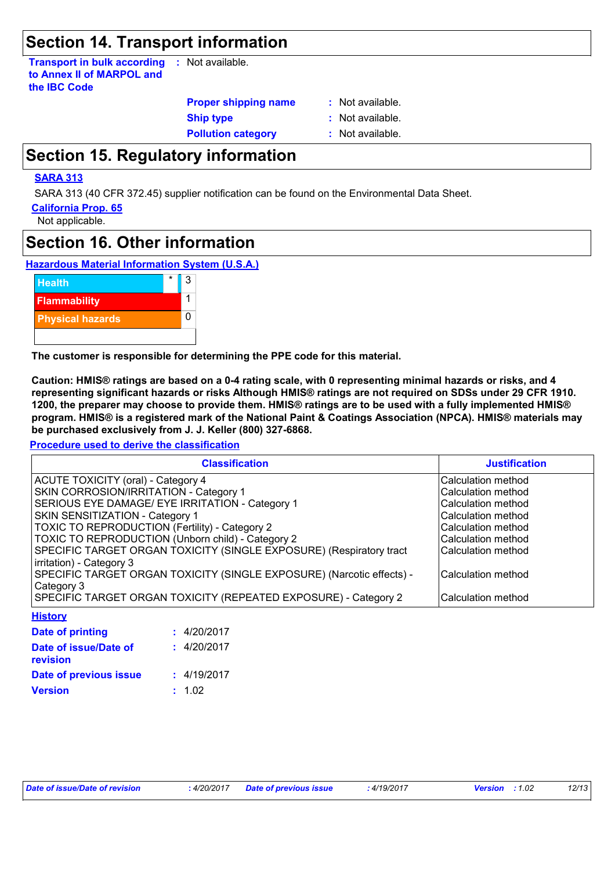### **Section 14. Transport information**

**Transport in bulk according to Annex II of MARPOL and the IBC Code :** Not available.

**Proper shipping name :**

**Ship type :** Not available.

: Not available.

**Pollution category :** Not available.

## **Section 15. Regulatory information**

#### **SARA 313**

SARA 313 (40 CFR 372.45) supplier notification can be found on the Environmental Data Sheet.

**California Prop. 65**

Not applicable.

### **Section 16. Other information**





**The customer is responsible for determining the PPE code for this material.**

**Caution: HMIS® ratings are based on a 0-4 rating scale, with 0 representing minimal hazards or risks, and 4 representing significant hazards or risks Although HMIS® ratings are not required on SDSs under 29 CFR 1910. 1200, the preparer may choose to provide them. HMIS® ratings are to be used with a fully implemented HMIS® program. HMIS® is a registered mark of the National Paint & Coatings Association (NPCA). HMIS® materials may be purchased exclusively from J. J. Keller (800) 327-6868.**

**Procedure used to derive the classification**

| <b>Classification</b>                                                 | <b>Justification</b> |
|-----------------------------------------------------------------------|----------------------|
| ACUTE TOXICITY (oral) - Category 4                                    | Calculation method   |
| SKIN CORROSION/IRRITATION - Category 1                                | Calculation method   |
| SERIOUS EYE DAMAGE/ EYE IRRITATION - Category 1                       | Calculation method   |
| SKIN SENSITIZATION - Category 1                                       | Calculation method   |
| TOXIC TO REPRODUCTION (Fertility) - Category 2                        | Calculation method   |
| TOXIC TO REPRODUCTION (Unborn child) - Category 2                     | Calculation method   |
| SPECIFIC TARGET ORGAN TOXICITY (SINGLE EXPOSURE) (Respiratory tract   | Calculation method   |
| irritation) - Category 3                                              |                      |
| SPECIFIC TARGET ORGAN TOXICITY (SINGLE EXPOSURE) (Narcotic effects) - | Calculation method   |
| Category 3                                                            |                      |
| SPECIFIC TARGET ORGAN TOXICITY (REPEATED EXPOSURE) - Category 2       | Calculation method   |
| <b>History</b>                                                        |                      |

| <u>.</u>                                 |             |
|------------------------------------------|-------------|
| <b>Date of printing</b>                  | : 4/20/2017 |
| Date of issue/Date of<br><b>revision</b> | : 4/20/2017 |
| Date of previous issue                   | : 4/19/2017 |
| <b>Version</b>                           | : 1.02      |